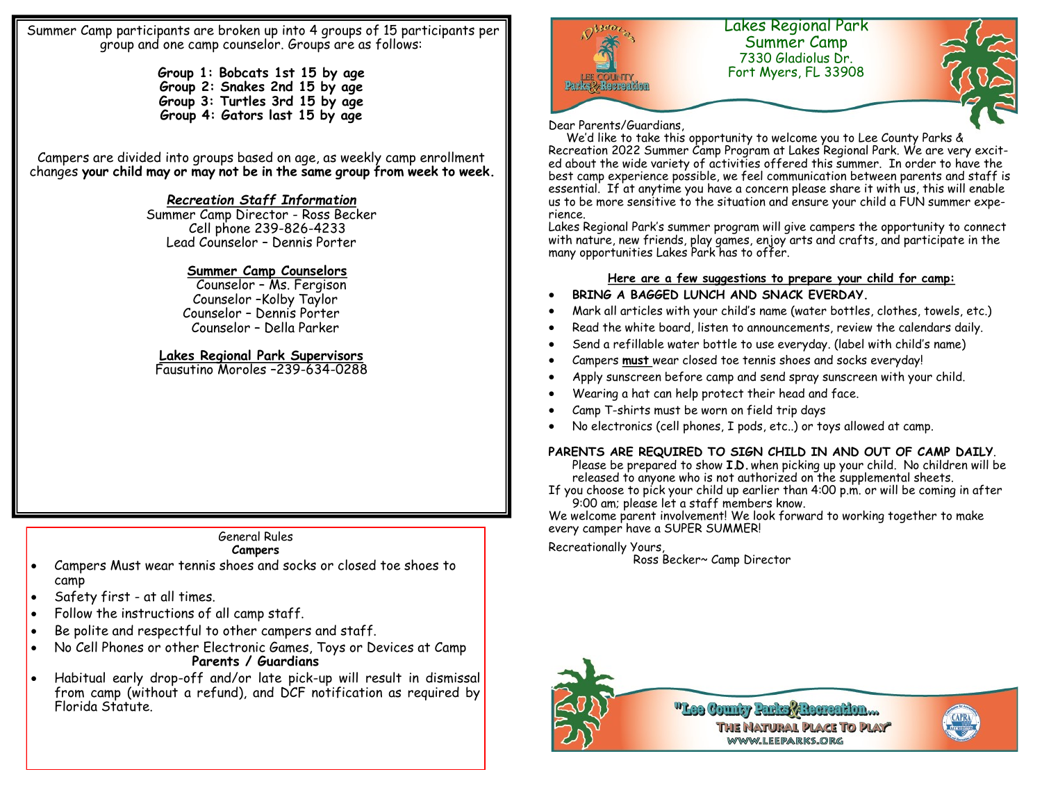Summer Camp participants are broken up into 4 groups of 15 participants per group and one camp counselor. Groups are as follows:

> **Group 1: Bobcats 1st 15 by age Group 2: Snakes 2nd 15 by age Group 3: Turtles 3rd 15 by age Group 4: Gators last 15 by age**

Campers are divided into groups based on age, as weekly camp enrollment changes **your child may or may not be in the same group from week to week.** 

#### *Recreation Staff Information*

Summer Camp Director - Ross Becker Cell phone 239-826-4233 Lead Counselor – Dennis Porter

### **Summer Camp Counselors**

 Counselor – Ms. Fergison Counselor –Kolby Taylor Counselor – Dennis Porter Counselor – Della Parker

## **Lakes Regional Park Supervisors**

Fausutino Moroles –239-634-0288

## General Rules

#### **Campers**

- Campers Must wear tennis shoes and socks or closed toe shoes to camp
- Safety first at all times.
- Follow the instructions of all camp staff.
- Be polite and respectful to other campers and staff.
- No Cell Phones or other Electronic Games, Toys or Devices at Camp **Parents / Guardians**
- Habitual early drop-off and/or late pick-up will result in dismissal from camp (without a refund), and DCF notification as required by Florida Statute.



Dear Parents/Guardians,

 We'd like to take this opportunity to welcome you to Lee County Parks & Recreation 2022 Summer Camp Program at Lakes Regional Park. We are very excited about the wide variety of activities offered this summer. In order to have the best camp experience possible, we feel communication between parents and staff is essential. If at anytime you have a concern please share it with us, this will enable us to be more sensitive to the situation and ensure your child a FUN summer experience.

Lakes Regional Park's summer program will give campers the opportunity to connect with nature, new friends, play games, enjoy arts and crafts, and participate in the many opportunities Lakes Park has to offer.

#### **Here are a few suggestions to prepare your child for camp:**

- **BRING A BAGGED LUNCH AND SNACK EVERDAY.**
- Mark all articles with your child's name (water bottles, clothes, towels, etc.)
- Read the white board, listen to announcements, review the calendars daily.
- Send a refillable water bottle to use everyday. (label with child's name)
- Campers **must** wear closed toe tennis shoes and socks everyday!
- Apply sunscreen before camp and send spray sunscreen with your child.
- Wearing a hat can help protect their head and face.
- Camp T-shirts must be worn on field trip days
- No electronics (cell phones, I pods, etc..) or toys allowed at camp.

#### **PARENTS ARE REQUIRED TO SIGN CHILD IN AND OUT OF CAMP DAILY**.

Please be prepared to show **I.D.** when picking up your child. No children will be released to anyone who is not authorized on the supplemental sheets.

If you choose to pick your child up earlier than 4:00 p.m. or will be coming in after 9:00 am; please let a staff members know.

We welcome parent involvement! We look forward to working together to make every camper have a SUPER SUMMER!

#### Recreationally Yours,

Ross Becker~ Camp Director